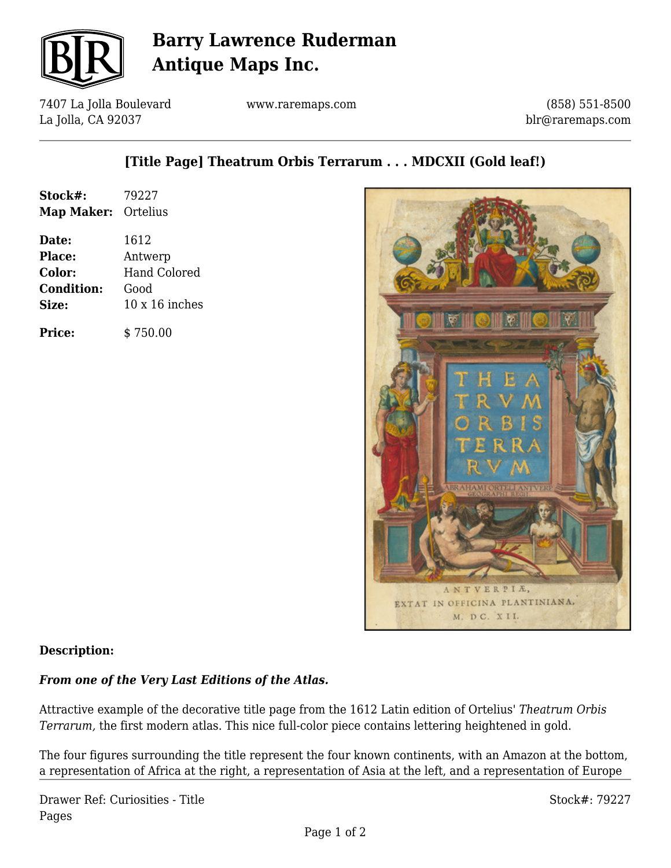

## **Barry Lawrence Ruderman Antique Maps Inc.**

7407 La Jolla Boulevard La Jolla, CA 92037

www.raremaps.com

(858) 551-8500 blr@raremaps.com

## **[Title Page] Theatrum Orbis Terrarum . . . MDCXII (Gold leaf!)**

| Stock#:<br>Map Maker: Ortelius | 79227                 |
|--------------------------------|-----------------------|
| Date:                          | 1612                  |
| Place:                         | Antwerp               |
| <b>Color:</b>                  | <b>Hand Colored</b>   |
| <b>Condition:</b>              | Good                  |
| <b>Size:</b>                   | $10 \times 16$ inches |
| <b>Price:</b>                  | \$750.00              |



### **Description:**

### *From one of the Very Last Editions of the Atlas.*

Attractive example of the decorative title page from the 1612 Latin edition of Ortelius' *Theatrum Orbis Terrarum,* the first modern atlas. This nice full-color piece contains lettering heightened in gold.

The four figures surrounding the title represent the four known continents, with an Amazon at the bottom, a representation of Africa at the right, a representation of Asia at the left, and a representation of Europe